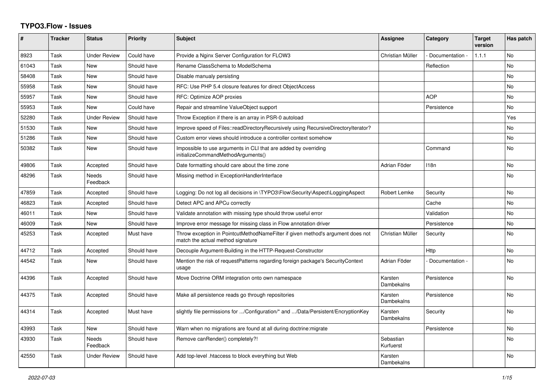## **TYPO3.Flow - Issues**

| #     | <b>Tracker</b> | <b>Status</b>            | <b>Priority</b> | <b>Subject</b>                                                                                                       | <b>Assignee</b>        | Category        | <b>Target</b><br>version | Has patch      |
|-------|----------------|--------------------------|-----------------|----------------------------------------------------------------------------------------------------------------------|------------------------|-----------------|--------------------------|----------------|
| 8923  | Task           | <b>Under Review</b>      | Could have      | Provide a Nginx Server Configuration for FLOW3                                                                       | Christian Müller       | Documentation - | 1.1.1                    | <b>No</b>      |
| 61043 | Task           | <b>New</b>               | Should have     | Rename ClassSchema to ModelSchema                                                                                    |                        | Reflection      |                          | No             |
| 58408 | Task           | <b>New</b>               | Should have     | Disable manualy persisting                                                                                           |                        |                 |                          | N <sub>o</sub> |
| 55958 | Task           | <b>New</b>               | Should have     | RFC: Use PHP 5.4 closure features for direct ObjectAccess                                                            |                        |                 |                          | N <sub>o</sub> |
| 55957 | Task           | New                      | Should have     | RFC: Optimize AOP proxies                                                                                            |                        | <b>AOP</b>      |                          | N <sub>o</sub> |
| 55953 | Task           | <b>New</b>               | Could have      | Repair and streamline ValueObject support                                                                            |                        | Persistence     |                          | No             |
| 52280 | Task           | <b>Under Review</b>      | Should have     | Throw Exception if there is an array in PSR-0 autoload                                                               |                        |                 |                          | Yes            |
| 51530 | Task           | <b>New</b>               | Should have     | Improve speed of Files::readDirectoryRecursively using RecursiveDirectoryIterator?                                   |                        |                 |                          | N <sub>o</sub> |
| 51286 | Task           | New                      | Should have     | Custom error views should introduce a controller context somehow                                                     |                        |                 |                          | No             |
| 50382 | Task           | <b>New</b>               | Should have     | Impossible to use arguments in CLI that are added by overriding<br>initializeCommandMethodArguments()                |                        | Command         |                          | No.            |
| 49806 | Task           | Accepted                 | Should have     | Date formatting should care about the time zone                                                                      | Adrian Föder           | 118n            |                          | N <sub>o</sub> |
| 48296 | Task           | <b>Needs</b><br>Feedback | Should have     | Missing method in ExceptionHandlerInterface                                                                          |                        |                 |                          | N <sub>o</sub> |
| 47859 | Task           | Accepted                 | Should have     | Logging: Do not log all decisions in \TYPO3\Flow\Security\Aspect\LoggingAspect                                       | Robert Lemke           | Security        |                          | No             |
| 46823 | Task           | Accepted                 | Should have     | Detect APC and APCu correctly                                                                                        |                        | Cache           |                          | N <sub>o</sub> |
| 46011 | Task           | <b>New</b>               | Should have     | Validate annotation with missing type should throw useful error                                                      |                        | Validation      |                          | No             |
| 46009 | Task           | <b>New</b>               | Should have     | Improve error message for missing class in Flow annotation driver                                                    |                        | Persistence     |                          | N <sub>o</sub> |
| 45253 | Task           | Accepted                 | Must have       | Throw exception in PointcutMethodNameFilter if given method's argument does not<br>match the actual method signature | Christian Müller       | Security        |                          | No             |
| 44712 | Task           | Accepted                 | Should have     | Decouple Argument-Building in the HTTP-Request-Constructor                                                           |                        | Http            |                          | N <sub>o</sub> |
| 44542 | Task           | New                      | Should have     | Mention the risk of requestPatterns regarding foreign package's SecurityContext<br>usage                             | Adrian Föder           | Documentation - |                          | No             |
| 44396 | Task           | Accepted                 | Should have     | Move Doctrine ORM integration onto own namespace                                                                     | Karsten<br>Dambekalns  | Persistence     |                          | No.            |
| 44375 | Task           | Accepted                 | Should have     | Make all persistence reads go through repositories                                                                   | Karsten<br>Dambekalns  | Persistence     |                          | No.            |
| 44314 | Task           | Accepted                 | Must have       | slightly file permissions for /Configuration/* and /Data/Persistent/EncryptionKey                                    | Karsten<br>Dambekalns  | Security        |                          | N <sub>o</sub> |
| 43993 | Task           | <b>New</b>               | Should have     | Warn when no migrations are found at all during doctrine: migrate                                                    |                        | Persistence     |                          | No             |
| 43930 | Task           | <b>Needs</b><br>Feedback | Should have     | Remove canRender() completely?!                                                                                      | Sebastian<br>Kurfuerst |                 |                          | No.            |
| 42550 | Task           | <b>Under Review</b>      | Should have     | Add top-level .htaccess to block everything but Web                                                                  | Karsten<br>Dambekalns  |                 |                          | <b>No</b>      |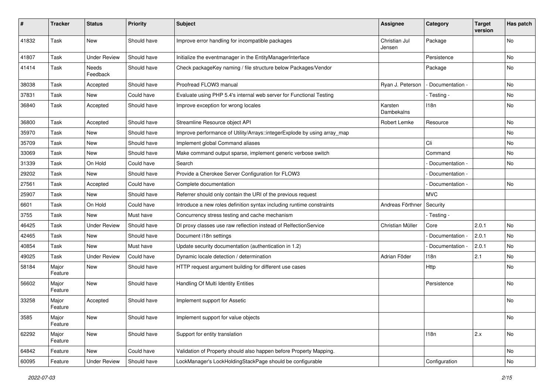| #     | <b>Tracker</b>   | <b>Status</b>       | <b>Priority</b> | <b>Subject</b>                                                           | <b>Assignee</b>         | Category          | <b>Target</b><br>version | Has patch |
|-------|------------------|---------------------|-----------------|--------------------------------------------------------------------------|-------------------------|-------------------|--------------------------|-----------|
| 41832 | Task             | New                 | Should have     | Improve error handling for incompatible packages                         | Christian Jul<br>Jensen | Package           |                          | No        |
| 41807 | Task             | <b>Under Review</b> | Should have     | Initialize the eventmanager in the EntityManagerInterface                |                         | Persistence       |                          | No        |
| 41414 | Task             | Needs<br>Feedback   | Should have     | Check packageKey naming / file structure below Packages/Vendor           |                         | Package           |                          | No        |
| 38038 | Task             | Accepted            | Should have     | Proofread FLOW3 manual                                                   | Ryan J. Peterson        | - Documentation - |                          | <b>No</b> |
| 37831 | Task             | New                 | Could have      | Evaluate using PHP 5.4's internal web server for Functional Testing      |                         | - Testing -       |                          | No        |
| 36840 | Task             | Accepted            | Should have     | Improve exception for wrong locales                                      | Karsten<br>Dambekalns   | 118n              |                          | No        |
| 36800 | Task             | Accepted            | Should have     | Streamline Resource object API                                           | Robert Lemke            | Resource          |                          | <b>No</b> |
| 35970 | Task             | New                 | Should have     | Improve performance of Utility/Arrays::integerExplode by using array_map |                         |                   |                          | No        |
| 35709 | Task             | <b>New</b>          | Should have     | Implement global Command aliases                                         |                         | Cli               |                          | No        |
| 33069 | Task             | New                 | Should have     | Make command output sparse, implement generic verbose switch             |                         | Command           |                          | No        |
| 31339 | Task             | On Hold             | Could have      | Search                                                                   |                         | Documentation -   |                          | <b>No</b> |
| 29202 | Task             | New                 | Should have     | Provide a Cherokee Server Configuration for FLOW3                        |                         | Documentation -   |                          |           |
| 27561 | Task             | Accepted            | Could have      | Complete documentation                                                   |                         | Documentation -   |                          | No        |
| 25907 | Task             | New                 | Should have     | Referrer should only contain the URI of the previous request             |                         | <b>MVC</b>        |                          |           |
| 6601  | Task             | On Hold             | Could have      | Introduce a new roles definition syntax including runtime constraints    | Andreas Förthner        | Security          |                          |           |
| 3755  | Task             | New                 | Must have       | Concurrency stress testing and cache mechanism                           |                         | - Testing -       |                          |           |
| 46425 | Task             | <b>Under Review</b> | Should have     | DI proxy classes use raw reflection instead of RelfectionService         | Christian Müller        | Core              | 2.0.1                    | No        |
| 42465 | Task             | New                 | Should have     | Document i18n settings                                                   |                         | - Documentation - | 2.0.1                    | <b>No</b> |
| 40854 | Task             | New                 | Must have       | Update security documentation (authentication in 1.2)                    |                         | Documentation -   | 2.0.1                    | No        |
| 49025 | Task             | <b>Under Review</b> | Could have      | Dynamic locale detection / determination                                 | Adrian Föder            | 118n              | 2.1                      | No.       |
| 58184 | Major<br>Feature | New                 | Should have     | HTTP request argument building for different use cases                   |                         | Http              |                          | No        |
| 56602 | Major<br>Feature | New                 | Should have     | Handling Of Multi Identity Entities                                      |                         | Persistence       |                          | No        |
| 33258 | Major<br>Feature | Accepted            | Should have     | Implement support for Assetic                                            |                         |                   |                          | No        |
| 3585  | Major<br>Feature | New                 | Should have     | Implement support for value objects                                      |                         |                   |                          | No        |
| 62292 | Major<br>Feature | New                 | Should have     | Support for entity translation                                           |                         | 118n              | 2.x                      | No        |
| 64842 | Feature          | New                 | Could have      | Validation of Property should also happen before Property Mapping.       |                         |                   |                          | No        |
| 60095 | Feature          | <b>Under Review</b> | Should have     | LockManager's LockHoldingStackPage should be configurable                |                         | Configuration     |                          | No        |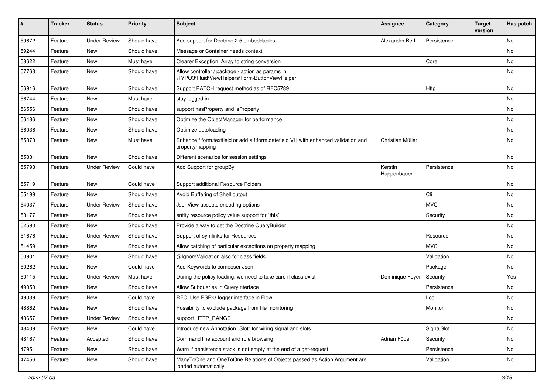| ∦     | <b>Tracker</b> | <b>Status</b>       | <b>Priority</b> | <b>Subject</b>                                                                                        | <b>Assignee</b>        | Category    | <b>Target</b><br>version | Has patch |
|-------|----------------|---------------------|-----------------|-------------------------------------------------------------------------------------------------------|------------------------|-------------|--------------------------|-----------|
| 59672 | Feature        | <b>Under Review</b> | Should have     | Add support for Doctrine 2.5 embeddables                                                              | Alexander Berl         | Persistence |                          | No        |
| 59244 | Feature        | <b>New</b>          | Should have     | Message or Container needs context                                                                    |                        |             |                          | No        |
| 58622 | Feature        | New                 | Must have       | Clearer Exception: Array to string conversion                                                         |                        | Core        |                          | No        |
| 57763 | Feature        | New                 | Should have     | Allow controller / package / action as params in<br>\TYPO3\Fluid\ViewHelpers\Form\ButtonViewHelper    |                        |             |                          | No        |
| 56916 | Feature        | <b>New</b>          | Should have     | Support PATCH request method as of RFC5789                                                            |                        | Http        |                          | No        |
| 56744 | Feature        | New                 | Must have       | stay logged in                                                                                        |                        |             |                          | No        |
| 56556 | Feature        | New                 | Should have     | support has Property and is Property                                                                  |                        |             |                          | No        |
| 56486 | Feature        | New                 | Should have     | Optimize the ObjectManager for performance                                                            |                        |             |                          | No        |
| 56036 | Feature        | New                 | Should have     | Optimize autoloading                                                                                  |                        |             |                          | No        |
| 55870 | Feature        | New                 | Must have       | Enhance f:form.textfield or add a f:form.datefield VH with enhanced validation and<br>propertymapping | Christian Müller       |             |                          | No        |
| 55831 | Feature        | New                 | Should have     | Different scenarios for session settings                                                              |                        |             |                          | No        |
| 55793 | Feature        | <b>Under Review</b> | Could have      | Add Support for groupBy                                                                               | Kerstin<br>Huppenbauer | Persistence |                          | No        |
| 55719 | Feature        | New                 | Could have      | Support additional Resource Folders                                                                   |                        |             |                          | No        |
| 55199 | Feature        | New                 | Should have     | Avoid Buffering of Shell output                                                                       |                        | Cli         |                          | No        |
| 54037 | Feature        | <b>Under Review</b> | Should have     | JsonView accepts encoding options                                                                     |                        | <b>MVC</b>  |                          | No        |
| 53177 | Feature        | New                 | Should have     | entity resource policy value support for `this`                                                       |                        | Security    |                          | No        |
| 52590 | Feature        | <b>New</b>          | Should have     | Provide a way to get the Doctrine QueryBuilder                                                        |                        |             |                          | No        |
| 51676 | Feature        | <b>Under Review</b> | Should have     | Support of symlinks for Resources                                                                     |                        | Resource    |                          | No        |
| 51459 | Feature        | New                 | Should have     | Allow catching of particular exceptions on property mapping                                           |                        | <b>MVC</b>  |                          | No        |
| 50901 | Feature        | New                 | Should have     | @IgnoreValidation also for class fields                                                               |                        | Validation  |                          | No        |
| 50262 | Feature        | <b>New</b>          | Could have      | Add Keywords to composer Json                                                                         |                        | Package     |                          | No        |
| 50115 | Feature        | <b>Under Review</b> | Must have       | During the policy loading, we need to take care if class exist                                        | Dominique Feyer        | Security    |                          | Yes       |
| 49050 | Feature        | New                 | Should have     | Allow Subqueries in QueryInterface                                                                    |                        | Persistence |                          | No        |
| 49039 | Feature        | New                 | Could have      | RFC: Use PSR-3 logger interface in Flow                                                               |                        | Log         |                          | No        |
| 48862 | Feature        | New                 | Should have     | Possibility to exclude package from file monitoring                                                   |                        | Monitor     |                          | No        |
| 48657 | Feature        | <b>Under Review</b> | Should have     | support HTTP_RANGE                                                                                    |                        |             |                          | No        |
| 48409 | Feature        | New                 | Could have      | Introduce new Annotation "Slot" for wiring signal and slots                                           |                        | SignalSlot  |                          | No        |
| 48167 | Feature        | Accepted            | Should have     | Command line account and role browsing                                                                | Adrian Föder           | Security    |                          | No        |
| 47951 | Feature        | New                 | Should have     | Warn if persistence stack is not empty at the end of a get-request                                    |                        | Persistence |                          | No        |
| 47456 | Feature        | New                 | Should have     | ManyToOne and OneToOne Relations of Objects passed as Action Argument are<br>loaded automatically     |                        | Validation  |                          | No        |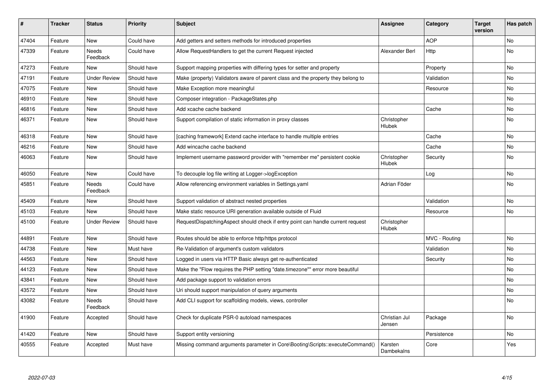| #     | <b>Tracker</b> | <b>Status</b>            | <b>Priority</b> | <b>Subject</b>                                                                   | <b>Assignee</b>         | Category      | <b>Target</b><br>version | Has patch |
|-------|----------------|--------------------------|-----------------|----------------------------------------------------------------------------------|-------------------------|---------------|--------------------------|-----------|
| 47404 | Feature        | New                      | Could have      | Add getters and setters methods for introduced properties                        |                         | <b>AOP</b>    |                          | <b>No</b> |
| 47339 | Feature        | Needs<br>Feedback        | Could have      | Allow RequestHandlers to get the current Request injected                        | Alexander Berl          | Http          |                          | No        |
| 47273 | Feature        | <b>New</b>               | Should have     | Support mapping properties with differing types for setter and property          |                         | Property      |                          | <b>No</b> |
| 47191 | Feature        | <b>Under Review</b>      | Should have     | Make (property) Validators aware of parent class and the property they belong to |                         | Validation    |                          | No        |
| 47075 | Feature        | <b>New</b>               | Should have     | Make Exception more meaningful                                                   |                         | Resource      |                          | No        |
| 46910 | Feature        | <b>New</b>               | Should have     | Composer integration - PackageStates.php                                         |                         |               |                          | <b>No</b> |
| 46816 | Feature        | <b>New</b>               | Should have     | Add xcache cache backend                                                         |                         | Cache         |                          | <b>No</b> |
| 46371 | Feature        | <b>New</b>               | Should have     | Support compilation of static information in proxy classes                       | Christopher<br>Hlubek   |               |                          | <b>No</b> |
| 46318 | Feature        | New                      | Should have     | [caching framework] Extend cache interface to handle multiple entries            |                         | Cache         |                          | <b>No</b> |
| 46216 | Feature        | <b>New</b>               | Should have     | Add wincache cache backend                                                       |                         | Cache         |                          | <b>No</b> |
| 46063 | Feature        | <b>New</b>               | Should have     | Implement username password provider with "remember me" persistent cookie        | Christopher<br>Hlubek   | Security      |                          | <b>No</b> |
| 46050 | Feature        | <b>New</b>               | Could have      | To decouple log file writing at Logger->logException                             |                         | Log           |                          | <b>No</b> |
| 45851 | Feature        | <b>Needs</b><br>Feedback | Could have      | Allow referencing environment variables in Settings.yaml                         | Adrian Föder            |               |                          | <b>No</b> |
| 45409 | Feature        | <b>New</b>               | Should have     | Support validation of abstract nested properties                                 |                         | Validation    |                          | <b>No</b> |
| 45103 | Feature        | <b>New</b>               | Should have     | Make static resource URI generation available outside of Fluid                   |                         | Resource      |                          | <b>No</b> |
| 45100 | Feature        | <b>Under Review</b>      | Should have     | RequestDispatchingAspect should check if entry point can handle current request  | Christopher<br>Hlubek   |               |                          |           |
| 44891 | Feature        | <b>New</b>               | Should have     | Routes should be able to enforce http/https protocol                             |                         | MVC - Routing |                          | No        |
| 44738 | Feature        | New                      | Must have       | Re-Validation of argument's custom validators                                    |                         | Validation    |                          | No        |
| 44563 | Feature        | <b>New</b>               | Should have     | Logged in users via HTTP Basic always get re-authenticated                       |                         | Security      |                          | No        |
| 44123 | Feature        | <b>New</b>               | Should have     | Make the "Flow requires the PHP setting "date.timezone"" error more beautiful    |                         |               |                          | <b>No</b> |
| 43841 | Feature        | New                      | Should have     | Add package support to validation errors                                         |                         |               |                          | No        |
| 43572 | Feature        | <b>New</b>               | Should have     | Uri should support manipulation of query arguments                               |                         |               |                          | <b>No</b> |
| 43082 | Feature        | Needs<br>Feedback        | Should have     | Add CLI support for scaffolding models, views, controller                        |                         |               |                          | No        |
| 41900 | Feature        | Accepted                 | Should have     | Check for duplicate PSR-0 autoload namespaces                                    | Christian Jul<br>Jensen | Package       |                          | <b>No</b> |
| 41420 | Feature        | New                      | Should have     | Support entity versioning                                                        |                         | Persistence   |                          | No        |
| 40555 | Feature        | Accepted                 | Must have       | Missing command arguments parameter in Core\Booting\Scripts::executeCommand()    | Karsten<br>Dambekalns   | Core          |                          | Yes       |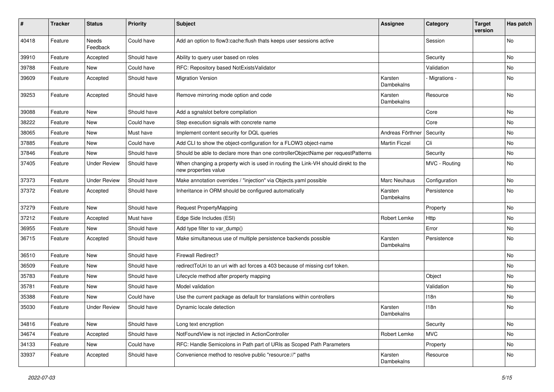| $\pmb{\#}$ | <b>Tracker</b> | <b>Status</b>       | <b>Priority</b> | <b>Subject</b>                                                                                            | <b>Assignee</b>       | Category       | <b>Target</b><br>version | Has patch |
|------------|----------------|---------------------|-----------------|-----------------------------------------------------------------------------------------------------------|-----------------------|----------------|--------------------------|-----------|
| 40418      | Feature        | Needs<br>Feedback   | Could have      | Add an option to flow3:cache:flush thats keeps user sessions active                                       |                       | Session        |                          | <b>No</b> |
| 39910      | Feature        | Accepted            | Should have     | Ability to query user based on roles                                                                      |                       | Security       |                          | No        |
| 39788      | Feature        | New                 | Could have      | RFC: Repository based NotExistsValidator                                                                  |                       | Validation     |                          | No        |
| 39609      | Feature        | Accepted            | Should have     | <b>Migration Version</b>                                                                                  | Karsten<br>Dambekalns | - Migrations - |                          | No        |
| 39253      | Feature        | Accepted            | Should have     | Remove mirroring mode option and code                                                                     | Karsten<br>Dambekalns | Resource       |                          | No        |
| 39088      | Feature        | New                 | Should have     | Add a sgnalslot before compilation                                                                        |                       | Core           |                          | No        |
| 38222      | Feature        | New                 | Could have      | Step execution signals with concrete name                                                                 |                       | Core           |                          | No        |
| 38065      | Feature        | New                 | Must have       | Implement content security for DQL queries                                                                | Andreas Förthner      | Security       |                          | No        |
| 37885      | Feature        | New                 | Could have      | Add CLI to show the object-configuration for a FLOW3 object-name                                          | <b>Martin Ficzel</b>  | Cli            |                          | No        |
| 37846      | Feature        | New                 | Should have     | Should be able to declare more than one controllerObjectName per requestPatterns                          |                       | Security       |                          | No        |
| 37405      | Feature        | <b>Under Review</b> | Should have     | When changing a property wich is used in routing the Link-VH should direkt to the<br>new properties value |                       | MVC - Routing  |                          | No        |
| 37373      | Feature        | <b>Under Review</b> | Should have     | Make annotation overrides / "injection" via Objects.yaml possible                                         | <b>Marc Neuhaus</b>   | Configuration  |                          | <b>No</b> |
| 37372      | Feature        | Accepted            | Should have     | Inheritance in ORM should be configured automatically                                                     | Karsten<br>Dambekalns | Persistence    |                          | No        |
| 37279      | Feature        | New                 | Should have     | <b>Request PropertyMapping</b>                                                                            |                       | Property       |                          | No        |
| 37212      | Feature        | Accepted            | Must have       | Edge Side Includes (ESI)                                                                                  | Robert Lemke          | Http           |                          | No        |
| 36955      | Feature        | New                 | Should have     | Add type filter to var_dump()                                                                             |                       | Error          |                          | No        |
| 36715      | Feature        | Accepted            | Should have     | Make simultaneous use of multiple persistence backends possible                                           | Karsten<br>Dambekalns | Persistence    |                          | No        |
| 36510      | Feature        | New                 | Should have     | <b>Firewall Redirect?</b>                                                                                 |                       |                |                          | No        |
| 36509      | Feature        | New                 | Should have     | redirectToUri to an uri with acl forces a 403 because of missing csrf token.                              |                       |                |                          | No        |
| 35783      | Feature        | New                 | Should have     | Lifecycle method after property mapping                                                                   |                       | Object         |                          | No        |
| 35781      | Feature        | New                 | Should have     | Model validation                                                                                          |                       | Validation     |                          | No        |
| 35388      | Feature        | New                 | Could have      | Use the current package as default for translations within controllers                                    |                       | 118n           |                          | No        |
| 35030      | Feature        | <b>Under Review</b> | Should have     | Dynamic locale detection                                                                                  | Karsten<br>Dambekalns | 118n           |                          | No        |
| 34816      | Feature        | New                 | Should have     | Long text encryption                                                                                      |                       | Security       |                          | No        |
| 34674      | Feature        | Accepted            | Should have     | NotFoundView is not injected in ActionController                                                          | Robert Lemke          | <b>MVC</b>     |                          | No        |
| 34133      | Feature        | New                 | Could have      | RFC: Handle Semicolons in Path part of URIs as Scoped Path Parameters                                     |                       | Property       |                          | No        |
| 33937      | Feature        | Accepted            | Should have     | Convenience method to resolve public "resource://" paths                                                  | Karsten<br>Dambekalns | Resource       |                          | No        |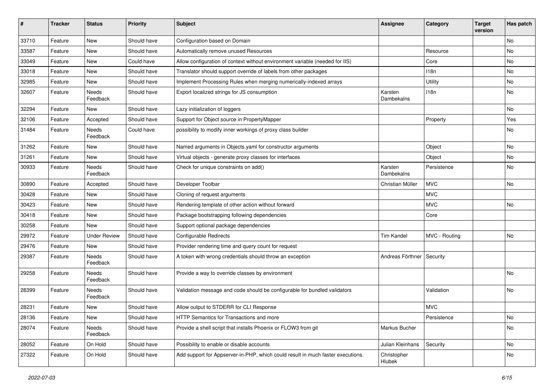| $\sharp$ | <b>Tracker</b> | <b>Status</b>            | <b>Priority</b> | <b>Subject</b>                                                                  | <b>Assignee</b>             | Category      | <b>Target</b><br>version | Has patch |
|----------|----------------|--------------------------|-----------------|---------------------------------------------------------------------------------|-----------------------------|---------------|--------------------------|-----------|
| 33710    | Feature        | New                      | Should have     | Configuration based on Domain                                                   |                             |               |                          | No        |
| 33587    | Feature        | New                      | Should have     | Automatically remove unused Resources                                           |                             | Resource      |                          | No        |
| 33049    | Feature        | New                      | Could have      | Allow configuration of context without environment variable (needed for IIS)    |                             | Core          |                          | No        |
| 33018    | Feature        | New                      | Should have     | Translator should support override of labels from other packages                |                             | 118n          |                          | No        |
| 32985    | Feature        | New                      | Should have     | Implement Processing Rules when merging numerically-indexed arrays              |                             | Utility       |                          | No        |
| 32607    | Feature        | <b>Needs</b><br>Feedback | Should have     | Export localized strings for JS consumption                                     | Karsten<br>Dambekalns       | 118n          |                          | No        |
| 32294    | Feature        | New                      | Should have     | Lazy initialization of loggers                                                  |                             |               |                          | <b>No</b> |
| 32106    | Feature        | Accepted                 | Should have     | Support for Object source in PropertyMapper                                     |                             | Property      |                          | Yes       |
| 31484    | Feature        | Needs<br>Feedback        | Could have      | possibility to modify inner workings of proxy class builder                     |                             |               |                          | No        |
| 31262    | Feature        | <b>New</b>               | Should have     | Named arguments in Objects.yaml for constructor arguments                       |                             | Object        |                          | <b>No</b> |
| 31261    | Feature        | New                      | Should have     | Virtual objects - generate proxy classes for interfaces                         |                             | Object        |                          | No        |
| 30933    | Feature        | <b>Needs</b><br>Feedback | Should have     | Check for unique constraints on add()                                           | Karsten<br>Dambekalns       | Persistence   |                          | No        |
| 30890    | Feature        | Accepted                 | Should have     | Developer Toolbar                                                               | Christian Müller            | <b>MVC</b>    |                          | No        |
| 30428    | Feature        | New                      | Should have     | Cloning of request arguments                                                    |                             | <b>MVC</b>    |                          |           |
| 30423    | Feature        | New                      | Should have     | Rendering template of other action without forward                              |                             | <b>MVC</b>    |                          | No        |
| 30418    | Feature        | New                      | Should have     | Package bootstrapping following dependencies                                    |                             | Core          |                          |           |
| 30258    | Feature        | New                      | Should have     | Support optional package dependencies                                           |                             |               |                          |           |
| 29972    | Feature        | <b>Under Review</b>      | Should have     | <b>Configurable Redirects</b>                                                   | <b>Tim Kandel</b>           | MVC - Routing |                          | No        |
| 29476    | Feature        | New                      | Should have     | Provider rendering time and query count for request                             |                             |               |                          |           |
| 29387    | Feature        | Needs<br>Feedback        | Should have     | A token with wrong credentials should throw an exception                        | Andreas Förthner   Security |               |                          |           |
| 29258    | Feature        | Needs<br>Feedback        | Should have     | Provide a way to override classes by environment                                |                             |               |                          | No        |
| 28399    | Feature        | Needs<br>Feedback        | Should have     | Validation message and code should be configurable for bundled validators       |                             | Validation    |                          | No        |
| 28231    | Feature        | New                      | Should have     | Allow output to STDERR for CLI Response                                         |                             | <b>MVC</b>    |                          |           |
| 28136    | Feature        | New                      | Should have     | HTTP Semantics for Transactions and more                                        |                             | Persistence   |                          | No        |
| 28074    | Feature        | Needs<br>Feedback        | Should have     | Provide a shell script that installs Phoenix or FLOW3 from git                  | Markus Bucher               |               |                          | No        |
| 28052    | Feature        | On Hold                  | Should have     | Possibility to enable or disable accounts                                       | Julian Kleinhans            | Security      |                          | No        |
| 27322    | Feature        | On Hold                  | Should have     | Add support for Appserver-in-PHP, which could result in much faster executions. | Christopher<br>Hlubek       |               |                          | No        |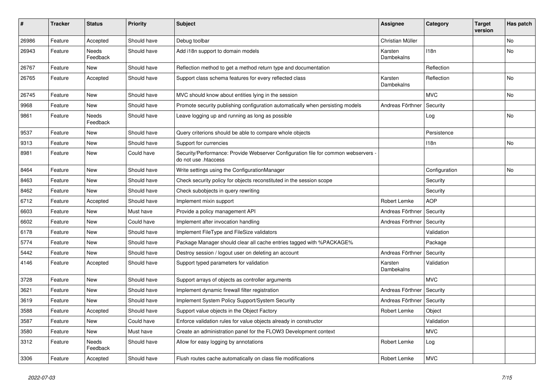| #     | <b>Tracker</b> | <b>Status</b>     | <b>Priority</b> | <b>Subject</b>                                                                                             | Assignee              | Category      | <b>Target</b><br>version | Has patch |
|-------|----------------|-------------------|-----------------|------------------------------------------------------------------------------------------------------------|-----------------------|---------------|--------------------------|-----------|
| 26986 | Feature        | Accepted          | Should have     | Debug toolbar                                                                                              | Christian Müller      |               |                          | No        |
| 26943 | Feature        | Needs<br>Feedback | Should have     | Add i18n support to domain models                                                                          | Karsten<br>Dambekalns | 118n          |                          | No        |
| 26767 | Feature        | <b>New</b>        | Should have     | Reflection method to get a method return type and documentation                                            |                       | Reflection    |                          |           |
| 26765 | Feature        | Accepted          | Should have     | Support class schema features for every reflected class                                                    | Karsten<br>Dambekalns | Reflection    |                          | No        |
| 26745 | Feature        | New               | Should have     | MVC should know about entities lying in the session                                                        |                       | <b>MVC</b>    |                          | No        |
| 9968  | Feature        | New               | Should have     | Promote security publishing configuration automatically when persisting models                             | Andreas Förthner      | Security      |                          |           |
| 9861  | Feature        | Needs<br>Feedback | Should have     | Leave logging up and running as long as possible                                                           |                       | Log           |                          | No        |
| 9537  | Feature        | New               | Should have     | Query criterions should be able to compare whole objects                                                   |                       | Persistence   |                          |           |
| 9313  | Feature        | New               | Should have     | Support for currencies                                                                                     |                       | 118n          |                          | No        |
| 8981  | Feature        | New               | Could have      | Security/Performance: Provide Webserver Configuration file for common webservers -<br>do not use .htaccess |                       |               |                          |           |
| 8464  | Feature        | <b>New</b>        | Should have     | Write settings using the ConfigurationManager                                                              |                       | Configuration |                          | No        |
| 8463  | Feature        | New               | Should have     | Check security policy for objects reconstituted in the session scope                                       |                       | Security      |                          |           |
| 8462  | Feature        | New               | Should have     | Check subobjects in query rewriting                                                                        |                       | Security      |                          |           |
| 6712  | Feature        | Accepted          | Should have     | Implement mixin support                                                                                    | Robert Lemke          | <b>AOP</b>    |                          |           |
| 6603  | Feature        | New               | Must have       | Provide a policy management API                                                                            | Andreas Förthner      | Security      |                          |           |
| 6602  | Feature        | New               | Could have      | Implement after invocation handling                                                                        | Andreas Förthner      | Security      |                          |           |
| 6178  | Feature        | New               | Should have     | Implement FileType and FileSize validators                                                                 |                       | Validation    |                          |           |
| 5774  | Feature        | New               | Should have     | Package Manager should clear all cache entries tagged with %PACKAGE%                                       |                       | Package       |                          |           |
| 5442  | Feature        | New               | Should have     | Destroy session / logout user on deleting an account                                                       | Andreas Förthner      | Security      |                          |           |
| 4146  | Feature        | Accepted          | Should have     | Support typed parameters for validation                                                                    | Karsten<br>Dambekalns | Validation    |                          |           |
| 3728  | Feature        | <b>New</b>        | Should have     | Support arrays of objects as controller arguments                                                          |                       | <b>MVC</b>    |                          |           |
| 3621  | Feature        | New               | Should have     | Implement dynamic firewall filter registration                                                             | Andreas Förthner      | Security      |                          |           |
| 3619  | Feature        | New               | Should have     | Implement System Policy Support/System Security                                                            | Andreas Förthner      | Security      |                          |           |
| 3588  | Feature        | Accepted          | Should have     | Support value objects in the Object Factory                                                                | Robert Lemke          | Object        |                          |           |
| 3587  | Feature        | <b>New</b>        | Could have      | Enforce validation rules for value objects already in constructor                                          |                       | Validation    |                          |           |
| 3580  | Feature        | New               | Must have       | Create an administration panel for the FLOW3 Development context                                           |                       | <b>MVC</b>    |                          |           |
| 3312  | Feature        | Needs<br>Feedback | Should have     | Allow for easy logging by annotations                                                                      | Robert Lemke          | Log           |                          |           |
| 3306  | Feature        | Accepted          | Should have     | Flush routes cache automatically on class file modifications                                               | Robert Lemke          | <b>MVC</b>    |                          |           |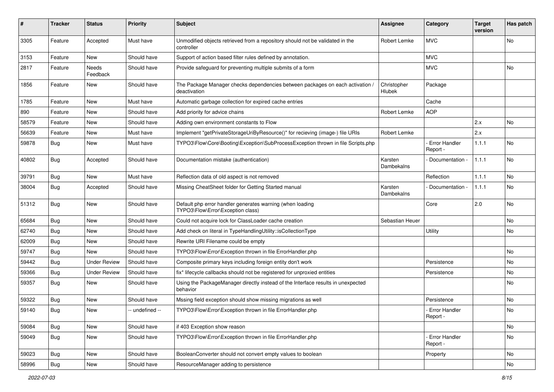| #     | <b>Tracker</b> | <b>Status</b>       | <b>Priority</b> | <b>Subject</b>                                                                                 | <b>Assignee</b>       | Category                         | <b>Target</b><br>version | Has patch |
|-------|----------------|---------------------|-----------------|------------------------------------------------------------------------------------------------|-----------------------|----------------------------------|--------------------------|-----------|
| 3305  | Feature        | Accepted            | Must have       | Unmodified objects retrieved from a repository should not be validated in the<br>controller    | Robert Lemke          | <b>MVC</b>                       |                          | No        |
| 3153  | Feature        | New                 | Should have     | Support of action based filter rules defined by annotation.                                    |                       | <b>MVC</b>                       |                          |           |
| 2817  | Feature        | Needs<br>Feedback   | Should have     | Provide safeguard for preventing multiple submits of a form                                    |                       | <b>MVC</b>                       |                          | No        |
| 1856  | Feature        | New                 | Should have     | The Package Manager checks dependencies between packages on each activation /<br>deactivation  | Christopher<br>Hlubek | Package                          |                          |           |
| 1785  | Feature        | New                 | Must have       | Automatic garbage collection for expired cache entries                                         |                       | Cache                            |                          |           |
| 890   | Feature        | New                 | Should have     | Add priority for advice chains                                                                 | Robert Lemke          | <b>AOP</b>                       |                          |           |
| 58579 | Feature        | New                 | Should have     | Adding own environment constants to Flow                                                       |                       |                                  | 2.x                      | No        |
| 56639 | Feature        | New                 | Must have       | Implement "getPrivateStorageUriByResource()" for recieving (image-) file URIs                  | Robert Lemke          |                                  | 2.x                      |           |
| 59878 | Bug            | New                 | Must have       | TYPO3\Flow\Core\Booting\Exception\SubProcessException thrown in file Scripts.php               |                       | <b>Error Handler</b><br>Report - | 1.1.1                    | No        |
| 40802 | Bug            | Accepted            | Should have     | Documentation mistake (authentication)                                                         | Karsten<br>Dambekalns | Documentation -                  | 1.1.1                    | No        |
| 39791 | Bug            | New                 | Must have       | Reflection data of old aspect is not removed                                                   |                       | Reflection                       | 1.1.1                    | No        |
| 38004 | Bug            | Accepted            | Should have     | Missing CheatSheet folder for Getting Started manual                                           | Karsten<br>Dambekalns | Documentation -                  | 1.1.1                    | No        |
| 51312 | Bug            | New                 | Should have     | Default php error handler generates warning (when loading<br>TYPO3\Flow\Error\Exception class) |                       | Core                             | 2.0                      | <b>No</b> |
| 65684 | Bug            | New                 | Should have     | Could not acquire lock for ClassLoader cache creation                                          | Sebastian Heuer       |                                  |                          | No        |
| 62740 | Bug            | New                 | Should have     | Add check on literal in TypeHandlingUtility::isCollectionType                                  |                       | Utility                          |                          | No        |
| 62009 | Bug            | New                 | Should have     | Rewrite URI Filename could be empty                                                            |                       |                                  |                          |           |
| 59747 | Bug            | New                 | Should have     | TYPO3\Flow\Error\Exception thrown in file ErrorHandler.php                                     |                       |                                  |                          | No        |
| 59442 | Bug            | <b>Under Review</b> | Should have     | Composite primary keys including foreign entity don't work                                     |                       | Persistence                      |                          | No        |
| 59366 | Bug            | <b>Under Review</b> | Should have     | fix* lifecycle callbacks should not be registered for unproxied entities                       |                       | Persistence                      |                          | No        |
| 59357 | Bug            | New                 | Should have     | Using the PackageManager directly instead of the Interface results in unexpected<br>behavior   |                       |                                  |                          | No        |
| 59322 | <b>Bug</b>     | New                 | Should have     | Mssing field exception should show missing migrations as well                                  |                       | Persistence                      |                          | No        |
| 59140 | Bug            | New                 | -- undefined -- | TYPO3\Flow\Error\Exception thrown in file ErrorHandler.php                                     |                       | - Error Handler<br>Report -      |                          | No        |
| 59084 | <b>Bug</b>     | New                 | Should have     | if 403 Exception show reason                                                                   |                       |                                  |                          | No        |
| 59049 | Bug            | New                 | Should have     | TYPO3\Flow\Error\Exception thrown in file ErrorHandler.php                                     |                       | Error Handler<br>Report -        |                          | No        |
| 59023 | Bug            | New                 | Should have     | BooleanConverter should not convert empty values to boolean                                    |                       | Property                         |                          | No        |
| 58996 | Bug            | New                 | Should have     | ResourceManager adding to persistence                                                          |                       |                                  |                          | No        |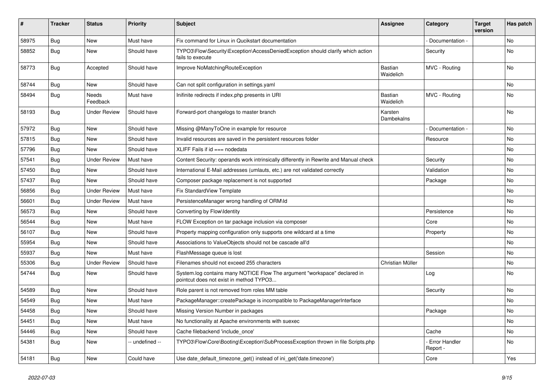| #     | <b>Tracker</b> | <b>Status</b>       | <b>Priority</b> | <b>Subject</b>                                                                                                       | <b>Assignee</b>             | Category                    | <b>Target</b><br>version | Has patch |
|-------|----------------|---------------------|-----------------|----------------------------------------------------------------------------------------------------------------------|-----------------------------|-----------------------------|--------------------------|-----------|
| 58975 | Bug            | <b>New</b>          | Must have       | Fix command for Linux in Qucikstart documentation                                                                    |                             | Documentation -             |                          | No        |
| 58852 | <b>Bug</b>     | New                 | Should have     | TYPO3\Flow\Security\Exception\AccessDeniedException should clarify which action<br>fails to execute                  |                             | Security                    |                          | No        |
| 58773 | <b>Bug</b>     | Accepted            | Should have     | Improve NoMatchingRouteException                                                                                     | <b>Bastian</b><br>Waidelich | MVC - Routing               |                          | No        |
| 58744 | <b>Bug</b>     | <b>New</b>          | Should have     | Can not split configuration in settings.yaml                                                                         |                             |                             |                          | <b>No</b> |
| 58494 | <b>Bug</b>     | Needs<br>Feedback   | Must have       | Inifinite redirects if index.php presents in URI                                                                     | Bastian<br>Waidelich        | MVC - Routing               |                          | No        |
| 58193 | <b>Bug</b>     | <b>Under Review</b> | Should have     | Forward-port changelogs to master branch                                                                             | Karsten<br>Dambekalns       |                             |                          | No        |
| 57972 | <b>Bug</b>     | New                 | Should have     | Missing @ManyToOne in example for resource                                                                           |                             | Documentation -             |                          | No        |
| 57815 | <b>Bug</b>     | New                 | Should have     | Invalid resources are saved in the persistent resources folder                                                       |                             | Resource                    |                          | No        |
| 57796 | Bug            | New                 | Should have     | XLIFF Fails if id === nodedata                                                                                       |                             |                             |                          | No        |
| 57541 | <b>Bug</b>     | <b>Under Review</b> | Must have       | Content Security: operands work intrinsically differently in Rewrite and Manual check                                |                             | Security                    |                          | No        |
| 57450 | Bug            | New                 | Should have     | International E-Mail addresses (umlauts, etc.) are not validated correctly                                           |                             | Validation                  |                          | No        |
| 57437 | <b>Bug</b>     | New                 | Should have     | Composer package replacement is not supported                                                                        |                             | Package                     |                          | No        |
| 56856 | Bug            | <b>Under Review</b> | Must have       | Fix StandardView Template                                                                                            |                             |                             |                          | No        |
| 56601 | <b>Bug</b>     | <b>Under Review</b> | Must have       | PersistenceManager wrong handling of ORM\ld                                                                          |                             |                             |                          | No        |
| 56573 | <b>Bug</b>     | New                 | Should have     | Converting by Flow\Identity                                                                                          |                             | Persistence                 |                          | <b>No</b> |
| 56544 | <b>Bug</b>     | New                 | Must have       | FLOW Exception on tar package inclusion via composer                                                                 |                             | Core                        |                          | No        |
| 56107 | <b>Bug</b>     | New                 | Should have     | Property mapping configuration only supports one wildcard at a time                                                  |                             | Property                    |                          | No        |
| 55954 | Bug            | New                 | Should have     | Associations to ValueObjects should not be cascade all'd                                                             |                             |                             |                          | No        |
| 55937 | <b>Bug</b>     | New                 | Must have       | FlashMessage queue is lost                                                                                           |                             | Session                     |                          | No        |
| 55306 | <b>Bug</b>     | <b>Under Review</b> | Should have     | Filenames should not exceed 255 characters                                                                           | Christian Müller            |                             |                          | No        |
| 54744 | <b>Bug</b>     | New                 | Should have     | System.log contains many NOTICE Flow The argument "workspace" declared in<br>pointcut does not exist in method TYPO3 |                             | Log                         |                          | No        |
| 54589 | Bug            | <b>New</b>          | Should have     | Role parent is not removed from roles MM table                                                                       |                             | Security                    |                          | <b>No</b> |
| 54549 | Bug            | New                 | Must have       | PackageManager::createPackage is incompatible to PackageManagerInterface                                             |                             |                             |                          | No        |
| 54458 | Bug            | New                 | Should have     | Missing Version Number in packages                                                                                   |                             | Package                     |                          | No        |
| 54451 | Bug            | New                 | Must have       | No functionality at Apache environments with suexec                                                                  |                             |                             |                          | No        |
| 54446 | <b>Bug</b>     | New                 | Should have     | Cache filebackend 'include_once'                                                                                     |                             | Cache                       |                          | No        |
| 54381 | Bug            | New                 | -- undefined -- | TYPO3\Flow\Core\Booting\Exception\SubProcessException thrown in file Scripts.php                                     |                             | - Error Handler<br>Report - |                          | No        |
| 54181 | <b>Bug</b>     | New                 | Could have      | Use date_default_timezone_get() instead of ini_get('date.timezone')                                                  |                             | Core                        |                          | Yes       |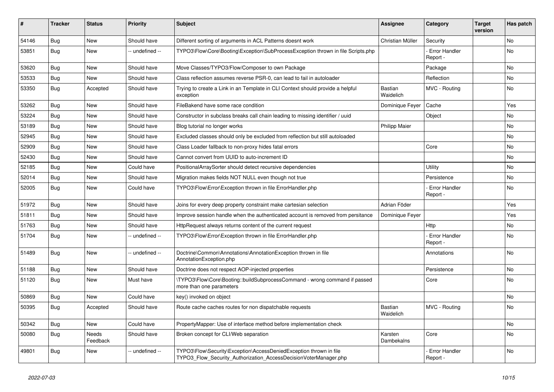| #     | <b>Tracker</b> | <b>Status</b>     | <b>Priority</b> | <b>Subject</b>                                                                                                                         | <b>Assignee</b>       | Category                         | <b>Target</b><br>version | Has patch |
|-------|----------------|-------------------|-----------------|----------------------------------------------------------------------------------------------------------------------------------------|-----------------------|----------------------------------|--------------------------|-----------|
| 54146 | Bug            | <b>New</b>        | Should have     | Different sorting of arguments in ACL Patterns doesnt work                                                                             | Christian Müller      | Security                         |                          | <b>No</b> |
| 53851 | Bug            | <b>New</b>        | -- undefined -- | TYPO3\Flow\Core\Booting\Exception\SubProcessException thrown in file Scripts.php                                                       |                       | <b>Error Handler</b><br>Report - |                          | <b>No</b> |
| 53620 | <b>Bug</b>     | <b>New</b>        | Should have     | Move Classes/TYPO3/Flow/Composer to own Package                                                                                        |                       | Package                          |                          | No        |
| 53533 | <b>Bug</b>     | <b>New</b>        | Should have     | Class reflection assumes reverse PSR-0, can lead to fail in autoloader                                                                 |                       | Reflection                       |                          | No        |
| 53350 | Bug            | Accepted          | Should have     | Trying to create a Link in an Template in CLI Context should provide a helpful<br>exception                                            | Bastian<br>Waidelich  | MVC - Routing                    |                          | No        |
| 53262 | Bug            | <b>New</b>        | Should have     | FileBakend have some race condition                                                                                                    | Dominique Feyer       | Cache                            |                          | Yes       |
| 53224 | Bug            | <b>New</b>        | Should have     | Constructor in subclass breaks call chain leading to missing identifier / uuid                                                         |                       | Object                           |                          | No        |
| 53189 | <b>Bug</b>     | <b>New</b>        | Should have     | Blog tutorial no longer works                                                                                                          | <b>Philipp Maier</b>  |                                  |                          | No        |
| 52945 | <b>Bug</b>     | <b>New</b>        | Should have     | Excluded classes should only be excluded from reflection but still autoloaded                                                          |                       |                                  |                          | No        |
| 52909 | Bug            | <b>New</b>        | Should have     | Class Loader fallback to non-proxy hides fatal errors                                                                                  |                       | Core                             |                          | No        |
| 52430 | Bug            | New               | Should have     | Cannot convert from UUID to auto-increment ID                                                                                          |                       |                                  |                          | No        |
| 52185 | <b>Bug</b>     | <b>New</b>        | Could have      | PositionalArraySorter should detect recursive dependencies                                                                             |                       | Utility                          |                          | No        |
| 52014 | Bug            | <b>New</b>        | Should have     | Migration makes fields NOT NULL even though not true                                                                                   |                       | Persistence                      |                          | <b>No</b> |
| 52005 | Bug            | New               | Could have      | TYPO3\Flow\Error\Exception thrown in file ErrorHandler.php                                                                             |                       | <b>Error Handler</b><br>Report - |                          | <b>No</b> |
| 51972 | <b>Bug</b>     | New               | Should have     | Joins for every deep property constraint make cartesian selection                                                                      | Adrian Föder          |                                  |                          | Yes       |
| 51811 | <b>Bug</b>     | <b>New</b>        | Should have     | Improve session handle when the authenticated account is removed from persitance                                                       | Dominique Feyer       |                                  |                          | Yes       |
| 51763 | <b>Bug</b>     | <b>New</b>        | Should have     | HttpRequest always returns content of the current request                                                                              |                       | Http                             |                          | No        |
| 51704 | <b>Bug</b>     | <b>New</b>        | -- undefined -- | TYPO3\Flow\Error\Exception thrown in file ErrorHandler.php                                                                             |                       | <b>Error Handler</b><br>Report · |                          | No        |
| 51489 | Bug            | New               | -- undefined -- | Doctrine\Common\Annotations\AnnotationException thrown in file<br>AnnotationException.php                                              |                       | Annotations                      |                          | <b>No</b> |
| 51188 | <b>Bug</b>     | <b>New</b>        | Should have     | Doctrine does not respect AOP-injected properties                                                                                      |                       | Persistence                      |                          | No        |
| 51120 | <b>Bug</b>     | <b>New</b>        | Must have       | \TYPO3\Flow\Core\Booting::buildSubprocessCommand - wrong command if passed<br>more than one parameters                                 |                       | Core                             |                          | No        |
| 50869 | Bug            | <b>New</b>        | Could have      | key() invoked on object                                                                                                                |                       |                                  |                          | <b>No</b> |
| 50395 | Bug            | Accepted          | Should have     | Route cache caches routes for non dispatchable requests                                                                                | Bastian<br>Waidelich  | MVC - Routing                    |                          | <b>No</b> |
| 50342 | <b>Bug</b>     | New               | Could have      | PropertyMapper: Use of interface method before implementation check                                                                    |                       |                                  |                          | No        |
| 50080 | <b>Bug</b>     | Needs<br>Feedback | Should have     | Broken concept for CLI/Web separation                                                                                                  | Karsten<br>Dambekalns | Core                             |                          | No        |
| 49801 | <b>Bug</b>     | New               | -- undefined -- | TYPO3\Flow\Security\Exception\AccessDeniedException thrown in file<br>TYPO3 Flow Security Authorization AccessDecisionVoterManager.php |                       | <b>Error Handler</b><br>Report - |                          | No        |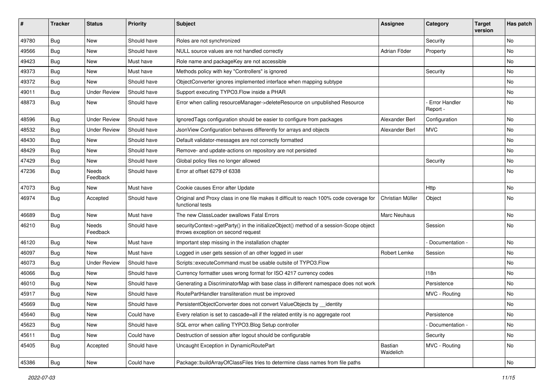| #     | <b>Tracker</b> | <b>Status</b>            | <b>Priority</b> | <b>Subject</b>                                                                                                               | <b>Assignee</b>      | Category                  | <b>Target</b><br>version | Has patch |
|-------|----------------|--------------------------|-----------------|------------------------------------------------------------------------------------------------------------------------------|----------------------|---------------------------|--------------------------|-----------|
| 49780 | <b>Bug</b>     | New                      | Should have     | Roles are not synchronized                                                                                                   |                      | Security                  |                          | No        |
| 49566 | Bug            | New                      | Should have     | NULL source values are not handled correctly                                                                                 | Adrian Föder         | Property                  |                          | No        |
| 49423 | Bug            | New                      | Must have       | Role name and packageKey are not accessible                                                                                  |                      |                           |                          | No        |
| 49373 | <b>Bug</b>     | New                      | Must have       | Methods policy with key "Controllers" is ignored                                                                             |                      | Security                  |                          | No        |
| 49372 | <b>Bug</b>     | New                      | Should have     | ObjectConverter ignores implemented interface when mapping subtype                                                           |                      |                           |                          | No        |
| 49011 | <b>Bug</b>     | <b>Under Review</b>      | Should have     | Support executing TYPO3.Flow inside a PHAR                                                                                   |                      |                           |                          | No        |
| 48873 | <b>Bug</b>     | New                      | Should have     | Error when calling resourceManager->deleteResource on unpublished Resource                                                   |                      | Error Handler<br>Report - |                          | No        |
| 48596 | <b>Bug</b>     | <b>Under Review</b>      | Should have     | Ignored Tags configuration should be easier to configure from packages                                                       | Alexander Berl       | Configuration             |                          | No        |
| 48532 | Bug            | <b>Under Review</b>      | Should have     | JsonView Configuration behaves differently for arrays and objects                                                            | Alexander Berl       | <b>MVC</b>                |                          | No        |
| 48430 | Bug            | New                      | Should have     | Default validator-messages are not correctly formatted                                                                       |                      |                           |                          | No        |
| 48429 | <b>Bug</b>     | New                      | Should have     | Remove- and update-actions on repository are not persisted                                                                   |                      |                           |                          | No        |
| 47429 | <b>Bug</b>     | New                      | Should have     | Global policy files no longer allowed                                                                                        |                      | Security                  |                          | No        |
| 47236 | <b>Bug</b>     | <b>Needs</b><br>Feedback | Should have     | Error at offset 6279 of 6338                                                                                                 |                      |                           |                          | No        |
| 47073 | Bug            | New                      | Must have       | Cookie causes Error after Update                                                                                             |                      | Http                      |                          | <b>No</b> |
| 46974 | <b>Bug</b>     | Accepted                 | Should have     | Original and Proxy class in one file makes it difficult to reach 100% code coverage for<br>functional tests                  | Christian Müller     | Object                    |                          | No        |
| 46689 | Bug            | New                      | Must have       | The new ClassLoader swallows Fatal Errors                                                                                    | Marc Neuhaus         |                           |                          | No        |
| 46210 | <b>Bug</b>     | Needs<br>Feedback        | Should have     | securityContext->getParty() in the initializeObject() method of a session-Scope object<br>throws exception on second request |                      | Session                   |                          | No        |
| 46120 | <b>Bug</b>     | New                      | Must have       | Important step missing in the installation chapter                                                                           |                      | Documentation -           |                          | <b>No</b> |
| 46097 | Bug            | New                      | Must have       | Logged in user gets session of an other logged in user                                                                       | Robert Lemke         | Session                   |                          | No        |
| 46073 | Bug            | <b>Under Review</b>      | Should have     | Scripts::executeCommand must be usable outsite of TYPO3.Flow                                                                 |                      |                           |                          | No        |
| 46066 | Bug            | New                      | Should have     | Currency formatter uses wrong format for ISO 4217 currency codes                                                             |                      | 118n                      |                          | No        |
| 46010 | Bug            | New                      | Should have     | Generating a DiscriminatorMap with base class in different namespace does not work                                           |                      | Persistence               |                          | No        |
| 45917 | Bug            | New                      | Should have     | RoutePartHandler transliteration must be improved                                                                            |                      | MVC - Routing             |                          | No        |
| 45669 | Bug            | New                      | Should have     | PersistentObjectConverter does not convert ValueObjects by __identity                                                        |                      |                           |                          | No        |
| 45640 | <b>Bug</b>     | New                      | Could have      | Every relation is set to cascade=all if the related entity is no aggregate root                                              |                      | Persistence               |                          | No.       |
| 45623 | Bug            | New                      | Should have     | SQL error when calling TYPO3.Blog Setup controller                                                                           |                      | Documentation -           |                          | No        |
| 45611 | Bug            | New                      | Could have      | Destruction of session after logout should be configurable                                                                   |                      | Security                  |                          | No        |
| 45405 | Bug            | Accepted                 | Should have     | Uncaught Exception in DynamicRoutePart                                                                                       | Bastian<br>Waidelich | MVC - Routing             |                          | No        |
| 45386 | Bug            | New                      | Could have      | Package::buildArrayOfClassFiles tries to determine class names from file paths                                               |                      |                           |                          | No        |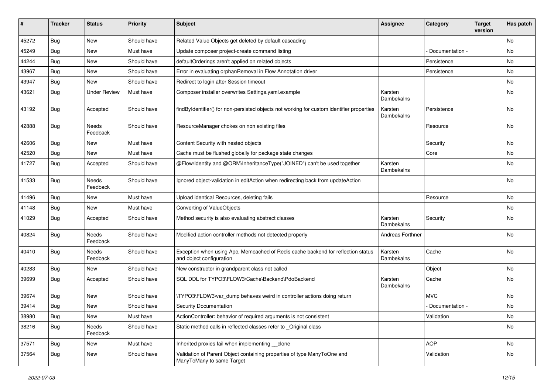| #     | <b>Tracker</b> | <b>Status</b>            | <b>Priority</b> | Subject                                                                                                      | <b>Assignee</b>       | Category        | <b>Target</b><br>version | Has patch |
|-------|----------------|--------------------------|-----------------|--------------------------------------------------------------------------------------------------------------|-----------------------|-----------------|--------------------------|-----------|
| 45272 | Bug            | <b>New</b>               | Should have     | Related Value Objects get deleted by default cascading                                                       |                       |                 |                          | No        |
| 45249 | <b>Bug</b>     | New                      | Must have       | Update composer project-create command listing                                                               |                       | Documentation - |                          | <b>No</b> |
| 44244 | Bug            | New                      | Should have     | defaultOrderings aren't applied on related objects                                                           |                       | Persistence     |                          | No        |
| 43967 | Bug            | <b>New</b>               | Should have     | Error in evaluating orphanRemoval in Flow Annotation driver                                                  |                       | Persistence     |                          | <b>No</b> |
| 43947 | <b>Bug</b>     | New                      | Should have     | Redirect to login after Session timeout                                                                      |                       |                 |                          | No        |
| 43621 | <b>Bug</b>     | <b>Under Review</b>      | Must have       | Composer installer overwrites Settings.yaml.example                                                          | Karsten<br>Dambekalns |                 |                          | No        |
| 43192 | Bug            | Accepted                 | Should have     | findByIdentifier() for non-persisted objects not working for custom identifier properties                    | Karsten<br>Dambekalns | Persistence     |                          | <b>No</b> |
| 42888 | Bug            | Needs<br>Feedback        | Should have     | ResourceManager chokes on non existing files                                                                 |                       | Resource        |                          | <b>No</b> |
| 42606 | Bug            | <b>New</b>               | Must have       | Content Security with nested objects                                                                         |                       | Security        |                          | No        |
| 42520 | <b>Bug</b>     | New                      | Must have       | Cache must be flushed globally for package state changes                                                     |                       | Core            |                          | No        |
| 41727 | <b>Bug</b>     | Accepted                 | Should have     | @Flow\Identity and @ORM\InheritanceType("JOINED") can't be used together                                     | Karsten<br>Dambekalns |                 |                          | <b>No</b> |
| 41533 | <b>Bug</b>     | Needs<br>Feedback        | Should have     | Ignored object-validation in editAction when redirecting back from updateAction                              |                       |                 |                          | No        |
| 41496 | <b>Bug</b>     | New                      | Must have       | Upload identical Resources, deleting fails                                                                   |                       | Resource        |                          | <b>No</b> |
| 41148 | <b>Bug</b>     | New                      | Must have       | Converting of ValueObjects                                                                                   |                       |                 |                          | No        |
| 41029 | <b>Bug</b>     | Accepted                 | Should have     | Method security is also evaluating abstract classes                                                          | Karsten<br>Dambekalns | Security        |                          | <b>No</b> |
| 40824 | Bug            | <b>Needs</b><br>Feedback | Should have     | Modified action controller methods not detected properly                                                     | Andreas Förthner      |                 |                          | <b>No</b> |
| 40410 | Bug            | Needs<br>Feedback        | Should have     | Exception when using Apc, Memcached of Redis cache backend for reflection status<br>and object configuration | Karsten<br>Dambekalns | Cache           |                          | <b>No</b> |
| 40283 | Bug            | New                      | Should have     | New constructor in grandparent class not called                                                              |                       | Object          |                          | No        |
| 39699 | Bug            | Accepted                 | Should have     | SQL DDL for TYPO3\FLOW3\Cache\Backend\PdoBackend                                                             | Karsten<br>Dambekalns | Cache           |                          | <b>No</b> |
| 39674 | <b>Bug</b>     | New                      | Should have     | \TYPO3\FLOW3\var dump behaves weird in controller actions doing return                                       |                       | <b>MVC</b>      |                          | <b>No</b> |
| 39414 | Bug            | New                      | Should have     | <b>Security Documentation</b>                                                                                |                       | Documentation - |                          | No        |
| 38980 | Bug            | New                      | Must have       | ActionController: behavior of required arguments is not consistent                                           |                       | Validation      |                          | No        |
| 38216 | Bug            | Needs<br>Feedback        | Should have     | Static method calls in reflected classes refer to _Original class                                            |                       |                 |                          | No        |
| 37571 | Bug            | New                      | Must have       | Inherited proxies fail when implementing __clone                                                             |                       | <b>AOP</b>      |                          | No        |
| 37564 | <b>Bug</b>     | New                      | Should have     | Validation of Parent Object containing properties of type ManyToOne and<br>ManyToMany to same Target         |                       | Validation      |                          | No        |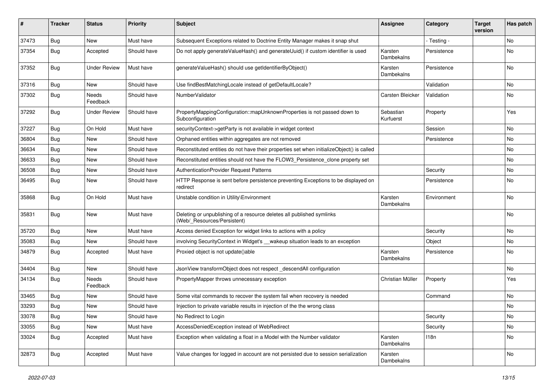| ∦     | <b>Tracker</b> | <b>Status</b>            | <b>Priority</b> | <b>Subject</b>                                                                                       | <b>Assignee</b>        | Category    | <b>Target</b><br>version | Has patch |
|-------|----------------|--------------------------|-----------------|------------------------------------------------------------------------------------------------------|------------------------|-------------|--------------------------|-----------|
| 37473 | Bug            | New                      | Must have       | Subsequent Exceptions related to Doctrine Entity Manager makes it snap shut                          |                        | - Testing - |                          | No        |
| 37354 | Bug            | Accepted                 | Should have     | Do not apply generateValueHash() and generateUuid() if custom identifier is used                     | Karsten<br>Dambekalns  | Persistence |                          | No        |
| 37352 | Bug            | <b>Under Review</b>      | Must have       | generateValueHash() should use getIdentifierByObject()                                               | Karsten<br>Dambekalns  | Persistence |                          | <b>No</b> |
| 37316 | Bug            | <b>New</b>               | Should have     | Use findBestMatchingLocale instead of getDefaultLocale?                                              |                        | Validation  |                          | <b>No</b> |
| 37302 | Bug            | Needs<br>Feedback        | Should have     | NumberValidator                                                                                      | Carsten Bleicker       | Validation  |                          | No        |
| 37292 | Bug            | <b>Under Review</b>      | Should have     | PropertyMappingConfiguration::mapUnknownProperties is not passed down to<br>Subconfiguration         | Sebastian<br>Kurfuerst | Property    |                          | Yes       |
| 37227 | Bug            | On Hold                  | Must have       | securityContext->getParty is not available in widget context                                         |                        | Session     |                          | <b>No</b> |
| 36804 | Bug            | New                      | Should have     | Orphaned entities within aggregates are not removed                                                  |                        | Persistence |                          | No        |
| 36634 | Bug            | <b>New</b>               | Should have     | Reconstituted entities do not have their properties set when initializeObject() is called            |                        |             |                          | <b>No</b> |
| 36633 | Bug            | New                      | Should have     | Reconstituted entities should not have the FLOW3_Persistence_clone property set                      |                        |             |                          | <b>No</b> |
| 36508 | Bug            | New                      | Should have     | AuthenticationProvider Request Patterns                                                              |                        | Security    |                          | No        |
| 36495 | <b>Bug</b>     | New                      | Should have     | HTTP Response is sent before persistence preventing Exceptions to be displayed on<br>redirect        |                        | Persistence |                          | No        |
| 35868 | Bug            | On Hold                  | Must have       | Unstable condition in Utility\Environment                                                            | Karsten<br>Dambekalns  | Environment |                          | <b>No</b> |
| 35831 | <b>Bug</b>     | New                      | Must have       | Deleting or unpublishing of a resource deletes all published symlinks<br>(Web/_Resources/Persistent) |                        |             |                          | No        |
| 35720 | Bug            | New                      | Must have       | Access denied Exception for widget links to actions with a policy                                    |                        | Security    |                          | No        |
| 35083 | Bug            | <b>New</b>               | Should have     | involving SecurityContext in Widget's __wakeup situation leads to an exception                       |                        | Object      |                          | No        |
| 34879 | Bug            | Accepted                 | Must have       | Proxied object is not update()able                                                                   | Karsten<br>Dambekalns  | Persistence |                          | No        |
| 34404 | Bug            | New                      | Should have     | JsonView transformObject does not respect_descendAll configuration                                   |                        |             |                          | No        |
| 34134 | <b>Bug</b>     | <b>Needs</b><br>Feedback | Should have     | PropertyMapper throws unnecessary exception                                                          | Christian Müller       | Property    |                          | Yes       |
| 33465 | <b>Bug</b>     | New                      | Should have     | Some vital commands to recover the system fail when recovery is needed                               |                        | Command     |                          | <b>No</b> |
| 33293 | <b>Bug</b>     | New                      | Should have     | Injection to private variable results in injection of the the wrong class                            |                        |             |                          | No        |
| 33078 | <b>Bug</b>     | New                      | Should have     | No Redirect to Login                                                                                 |                        | Security    |                          | No        |
| 33055 | <b>Bug</b>     | New                      | Must have       | AccessDeniedException instead of WebRedirect                                                         |                        | Security    |                          | No        |
| 33024 | Bug            | Accepted                 | Must have       | Exception when validating a float in a Model with the Number validator                               | Karsten<br>Dambekalns  | 118n        |                          | No        |
| 32873 | <b>Bug</b>     | Accepted                 | Must have       | Value changes for logged in account are not persisted due to session serialization                   | Karsten<br>Dambekalns  |             |                          | No        |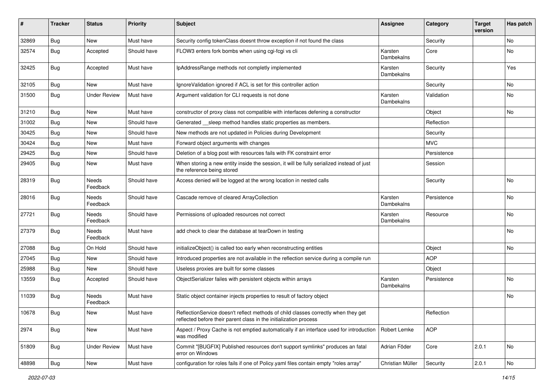| #     | <b>Tracker</b> | <b>Status</b>       | <b>Priority</b> | <b>Subject</b>                                                                                                                                          | <b>Assignee</b>       | Category    | <b>Target</b><br>version | Has patch |
|-------|----------------|---------------------|-----------------|---------------------------------------------------------------------------------------------------------------------------------------------------------|-----------------------|-------------|--------------------------|-----------|
| 32869 | Bug            | New                 | Must have       | Security config tokenClass doesnt throw exception if not found the class                                                                                |                       | Security    |                          | No        |
| 32574 | <b>Bug</b>     | Accepted            | Should have     | FLOW3 enters fork bombs when using cgi-fcgi vs cli                                                                                                      | Karsten<br>Dambekalns | Core        |                          | No        |
| 32425 | Bug            | Accepted            | Must have       | IpAddressRange methods not completly implemented                                                                                                        | Karsten<br>Dambekalns | Security    |                          | Yes       |
| 32105 | <b>Bug</b>     | New                 | Must have       | IgnoreValidation ignored if ACL is set for this controller action                                                                                       |                       | Security    |                          | No.       |
| 31500 | <b>Bug</b>     | <b>Under Review</b> | Must have       | Argument validation for CLI requests is not done                                                                                                        | Karsten<br>Dambekalns | Validation  |                          | No        |
| 31210 | <b>Bug</b>     | <b>New</b>          | Must have       | constructor of proxy class not compatible with interfaces defening a constructor                                                                        |                       | Object      |                          | No.       |
| 31002 | <b>Bug</b>     | New                 | Should have     | Generated __sleep method handles static properties as members.                                                                                          |                       | Reflection  |                          |           |
| 30425 | Bug            | New                 | Should have     | New methods are not updated in Policies during Development                                                                                              |                       | Security    |                          |           |
| 30424 | <b>Bug</b>     | New                 | Must have       | Forward object arguments with changes                                                                                                                   |                       | <b>MVC</b>  |                          |           |
| 29425 | Bug            | New                 | Should have     | Deletion of a blog post with resources fails with FK constraint error                                                                                   |                       | Persistence |                          |           |
| 29405 | <b>Bug</b>     | New                 | Must have       | When storing a new entity inside the session, it will be fully serialized instead of just<br>the reference being stored                                 |                       | Session     |                          |           |
| 28319 | <b>Bug</b>     | Needs<br>Feedback   | Should have     | Access denied will be logged at the wrong location in nested calls                                                                                      |                       | Security    |                          | <b>No</b> |
| 28016 | Bug            | Needs<br>Feedback   | Should have     | Cascade remove of cleared ArrayCollection                                                                                                               | Karsten<br>Dambekalns | Persistence |                          | No        |
| 27721 | <b>Bug</b>     | Needs<br>Feedback   | Should have     | Permissions of uploaded resources not correct                                                                                                           | Karsten<br>Dambekalns | Resource    |                          | No        |
| 27379 | <b>Bug</b>     | Needs<br>Feedback   | Must have       | add check to clear the database at tearDown in testing                                                                                                  |                       |             |                          | No        |
| 27088 | Bug            | On Hold             | Should have     | initializeObject() is called too early when reconstructing entities                                                                                     |                       | Object      |                          | No        |
| 27045 | <b>Bug</b>     | New                 | Should have     | Introduced properties are not available in the reflection service during a compile run                                                                  |                       | <b>AOP</b>  |                          |           |
| 25988 | <b>Bug</b>     | New                 | Should have     | Useless proxies are built for some classes                                                                                                              |                       | Object      |                          |           |
| 13559 | <b>Bug</b>     | Accepted            | Should have     | ObjectSerializer failes with persistent objects within arrays                                                                                           | Karsten<br>Dambekalns | Persistence |                          | No        |
| 11039 | Bug            | Needs<br>Feedback   | Must have       | Static object container injects properties to result of factory object                                                                                  |                       |             |                          | No        |
| 10678 | Bug            | New                 | Must have       | ReflectionService doesn't reflect methods of child classes correctly when they get<br>reflected before their parent class in the initialization process |                       | Reflection  |                          |           |
| 2974  | Bug            | New                 | Must have       | Aspect / Proxy Cache is not emptied automatically if an interface used for introduction<br>was modified                                                 | Robert Lemke          | <b>AOP</b>  |                          |           |
| 51809 | <b>Bug</b>     | <b>Under Review</b> | Must have       | Commit "[BUGFIX] Published resources don't support symlinks" produces an fatal<br>error on Windows                                                      | Adrian Föder          | Core        | 2.0.1                    | No        |
| 48898 | <b>Bug</b>     | New                 | Must have       | configuration for roles fails if one of Policy yaml files contain empty "roles array"                                                                   | Christian Müller      | Security    | 2.0.1                    | No        |